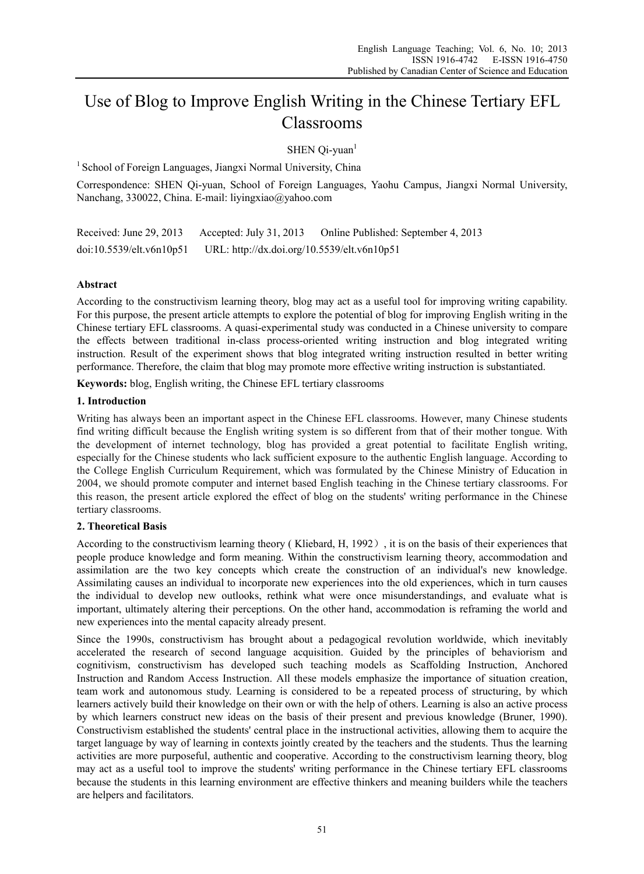# Use of Blog to Improve English Writing in the Chinese Tertiary EFL Classrooms

 $SHEN$  Qi-yuan<sup>1</sup>

<sup>1</sup> School of Foreign Languages, Jiangxi Normal University, China

Correspondence: SHEN Qi-yuan, School of Foreign Languages, Yaohu Campus, Jiangxi Normal University, Nanchang, 330022, China. E-mail: liyingxiao@yahoo.com

Received: June 29, 2013 Accepted: July 31, 2013 Online Published: September 4, 2013 doi:10.5539/elt.v6n10p51 URL: http://dx.doi.org/10.5539/elt.v6n10p51

# **Abstract**

According to the constructivism learning theory, blog may act as a useful tool for improving writing capability. For this purpose, the present article attempts to explore the potential of blog for improving English writing in the Chinese tertiary EFL classrooms. A quasi-experimental study was conducted in a Chinese university to compare the effects between traditional in-class process-oriented writing instruction and blog integrated writing instruction. Result of the experiment shows that blog integrated writing instruction resulted in better writing performance. Therefore, the claim that blog may promote more effective writing instruction is substantiated.

**Keywords:** blog, English writing, the Chinese EFL tertiary classrooms

## **1. Introduction**

Writing has always been an important aspect in the Chinese EFL classrooms. However, many Chinese students find writing difficult because the English writing system is so different from that of their mother tongue. With the development of internet technology, blog has provided a great potential to facilitate English writing, especially for the Chinese students who lack sufficient exposure to the authentic English language. According to the College English Curriculum Requirement, which was formulated by the Chinese Ministry of Education in 2004, we should promote computer and internet based English teaching in the Chinese tertiary classrooms. For this reason, the present article explored the effect of blog on the students' writing performance in the Chinese tertiary classrooms.

## **2. Theoretical Basis**

According to the constructivism learning theory ( Kliebard, H, 1992), it is on the basis of their experiences that people produce knowledge and form meaning. Within the constructivism learning theory, accommodation and assimilation are the two key concepts which create the construction of an individual's new knowledge. Assimilating causes an individual to incorporate new experiences into the old experiences, which in turn causes the individual to develop new outlooks, rethink what were once misunderstandings, and evaluate what is important, ultimately altering their perceptions. On the other hand, accommodation is reframing the world and new experiences into the mental capacity already present.

Since the 1990s, constructivism has brought about a pedagogical revolution worldwide, which inevitably accelerated the research of second language acquisition. Guided by the principles of behaviorism and cognitivism, constructivism has developed such teaching models as Scaffolding Instruction, Anchored Instruction and Random Access Instruction. All these models emphasize the importance of situation creation, team work and autonomous study. Learning is considered to be a repeated process of structuring, by which learners actively build their knowledge on their own or with the help of others. Learning is also an active process by which learners construct new ideas on the basis of their present and previous knowledge (Bruner, 1990). Constructivism established the students' central place in the instructional activities, allowing them to acquire the target language by way of learning in contexts jointly created by the teachers and the students. Thus the learning activities are more purposeful, authentic and cooperative. According to the constructivism learning theory, blog may act as a useful tool to improve the students' writing performance in the Chinese tertiary EFL classrooms because the students in this learning environment are effective thinkers and meaning builders while the teachers are helpers and facilitators.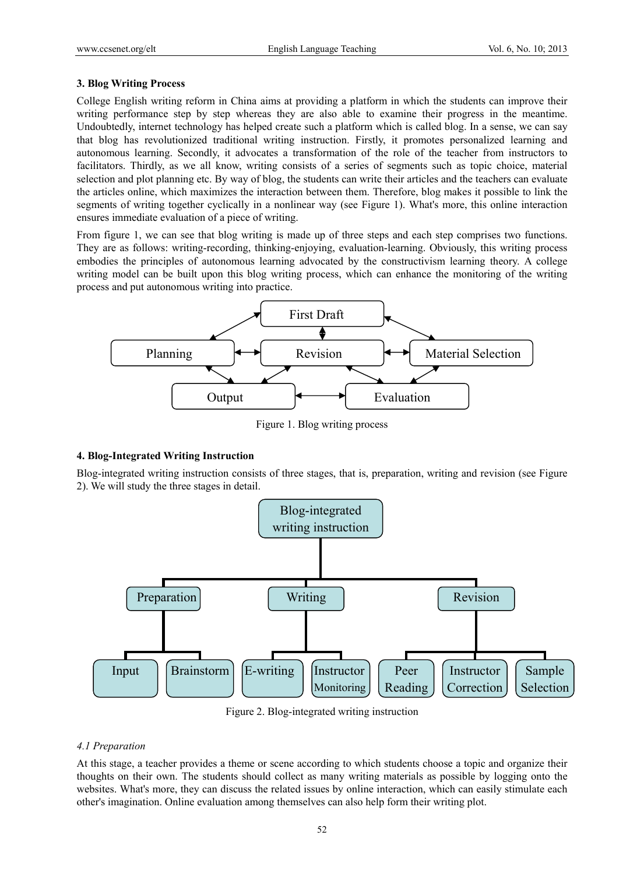#### **3. Blog Writing Process**

College English writing reform in China aims at providing a platform in which the students can improve their writing performance step by step whereas they are also able to examine their progress in the meantime. Undoubtedly, internet technology has helped create such a platform which is called blog. In a sense, we can say that blog has revolutionized traditional writing instruction. Firstly, it promotes personalized learning and autonomous learning. Secondly, it advocates a transformation of the role of the teacher from instructors to facilitators. Thirdly, as we all know, writing consists of a series of segments such as topic choice, material selection and plot planning etc. By way of blog, the students can write their articles and the teachers can evaluate the articles online, which maximizes the interaction between them. Therefore, blog makes it possible to link the segments of writing together cyclically in a nonlinear way (see Figure 1). What's more, this online interaction ensures immediate evaluation of a piece of writing.

From figure 1, we can see that blog writing is made up of three steps and each step comprises two functions. They are as follows: writing-recording, thinking-enjoying, evaluation-learning. Obviously, this writing process embodies the principles of autonomous learning advocated by the constructivism learning theory. A college writing model can be built upon this blog writing process, which can enhance the monitoring of the writing process and put autonomous writing into practice.



Figure 1. Blog writing process

## **4. Blog-Integrated Writing Instruction**

Blog-integrated writing instruction consists of three stages, that is, preparation, writing and revision (see Figure 2). We will study the three stages in detail.



Figure 2. Blog-integrated writing instruction

## *4.1 Preparation*

At this stage, a teacher provides a theme or scene according to which students choose a topic and organize their thoughts on their own. The students should collect as many writing materials as possible by logging onto the websites. What's more, they can discuss the related issues by online interaction, which can easily stimulate each other's imagination. Online evaluation among themselves can also help form their writing plot.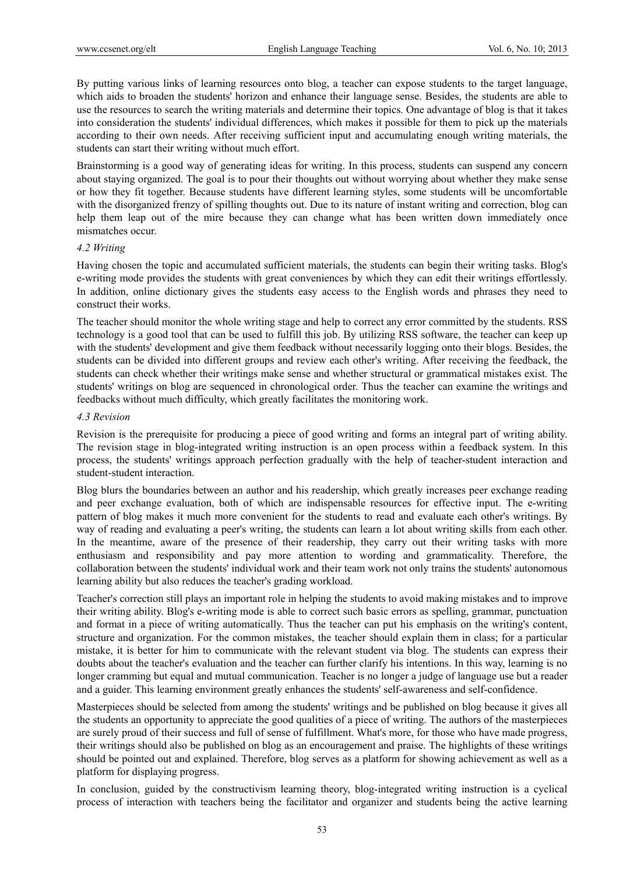By putting various links of learning resources onto blog, a teacher can expose students to the target language, which aids to broaden the students' horizon and enhance their language sense. Besides, the students are able to use the resources to search the writing materials and determine their topics. One advantage of blog is that it takes into consideration the students' individual differences, which makes it possible for them to pick up the materials according to their own needs. After receiving sufficient input and accumulating enough writing materials, the students can start their writing without much effort.

Brainstorming is a good way of generating ideas for writing. In this process, students can suspend any concern about staying organized. The goal is to pour their thoughts out without worrying about whether they make sense or how they fit together. Because students have different learning styles, some students will be uncomfortable with the disorganized frenzy of spilling thoughts out. Due to its nature of instant writing and correction, blog can help them leap out of the mire because they can change what has been written down immediately once mismatches occur.

#### *4.2 Writing*

Having chosen the topic and accumulated sufficient materials, the students can begin their writing tasks. Blog's e-writing mode provides the students with great conveniences by which they can edit their writings effortlessly. In addition, online dictionary gives the students easy access to the English words and phrases they need to construct their works.

The teacher should monitor the whole writing stage and help to correct any error committed by the students. RSS technology is a good tool that can be used to fulfill this job. By utilizing RSS software, the teacher can keep up with the students' development and give them feedback without necessarily logging onto their blogs. Besides, the students can be divided into different groups and review each other's writing. After receiving the feedback, the students can check whether their writings make sense and whether structural or grammatical mistakes exist. The students' writings on blog are sequenced in chronological order. Thus the teacher can examine the writings and feedbacks without much difficulty, which greatly facilitates the monitoring work.

#### *4.3 Revision*

Revision is the prerequisite for producing a piece of good writing and forms an integral part of writing ability. The revision stage in blog-integrated writing instruction is an open process within a feedback system. In this process, the students' writings approach perfection gradually with the help of teacher-student interaction and student-student interaction.

Blog blurs the boundaries between an author and his readership, which greatly increases peer exchange reading and peer exchange evaluation, both of which are indispensable resources for effective input. The e-writing pattern of blog makes it much more convenient for the students to read and evaluate each other's writings. By way of reading and evaluating a peer's writing, the students can learn a lot about writing skills from each other. In the meantime, aware of the presence of their readership, they carry out their writing tasks with more enthusiasm and responsibility and pay more attention to wording and grammaticality. Therefore, the collaboration between the students' individual work and their team work not only trains the students' autonomous learning ability but also reduces the teacher's grading workload.

Teacher's correction still plays an important role in helping the students to avoid making mistakes and to improve their writing ability. Blog's e-writing mode is able to correct such basic errors as spelling, grammar, punctuation and format in a piece of writing automatically. Thus the teacher can put his emphasis on the writing's content, structure and organization. For the common mistakes, the teacher should explain them in class; for a particular mistake, it is better for him to communicate with the relevant student via blog. The students can express their doubts about the teacher's evaluation and the teacher can further clarify his intentions. In this way, learning is no longer cramming but equal and mutual communication. Teacher is no longer a judge of language use but a reader and a guider. This learning environment greatly enhances the students' self-awareness and self-confidence.

Masterpieces should be selected from among the students' writings and be published on blog because it gives all the students an opportunity to appreciate the good qualities of a piece of writing. The authors of the masterpieces are surely proud of their success and full of sense of fulfillment. What's more, for those who have made progress, their writings should also be published on blog as an encouragement and praise. The highlights of these writings should be pointed out and explained. Therefore, blog serves as a platform for showing achievement as well as a platform for displaying progress.

In conclusion, guided by the constructivism learning theory, blog-integrated writing instruction is a cyclical process of interaction with teachers being the facilitator and organizer and students being the active learning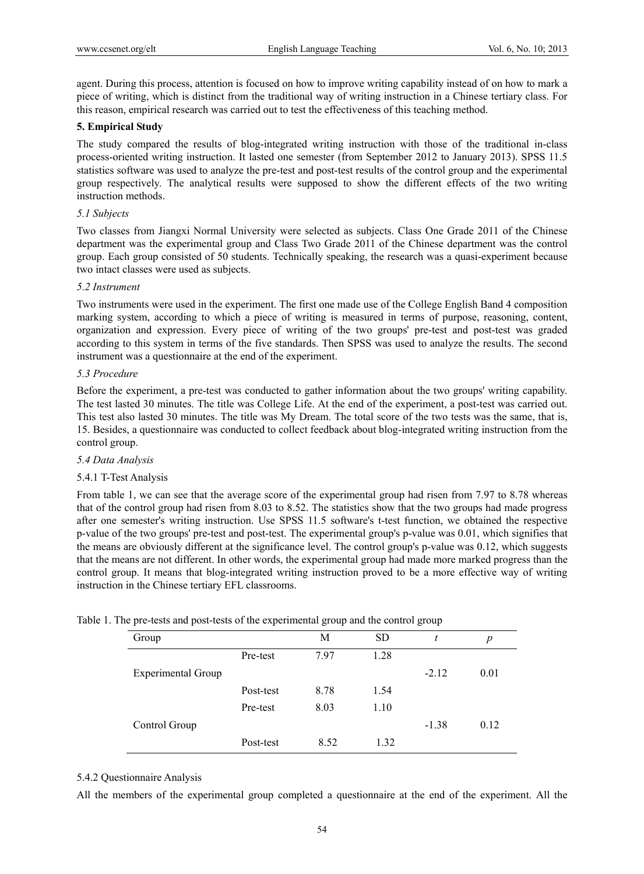agent. During this process, attention is focused on how to improve writing capability instead of on how to mark a piece of writing, which is distinct from the traditional way of writing instruction in a Chinese tertiary class. For this reason, empirical research was carried out to test the effectiveness of this teaching method.

# **5. Empirical Study**

The study compared the results of blog-integrated writing instruction with those of the traditional in-class process-oriented writing instruction. It lasted one semester (from September 2012 to January 2013). SPSS 11.5 statistics software was used to analyze the pre-test and post-test results of the control group and the experimental group respectively. The analytical results were supposed to show the different effects of the two writing instruction methods.

# *5.1 Subjects*

Two classes from Jiangxi Normal University were selected as subjects. Class One Grade 2011 of the Chinese department was the experimental group and Class Two Grade 2011 of the Chinese department was the control group. Each group consisted of 50 students. Technically speaking, the research was a quasi-experiment because two intact classes were used as subjects.

## *5.2 Instrument*

Two instruments were used in the experiment. The first one made use of the College English Band 4 composition marking system, according to which a piece of writing is measured in terms of purpose, reasoning, content, organization and expression. Every piece of writing of the two groups' pre-test and post-test was graded according to this system in terms of the five standards. Then SPSS was used to analyze the results. The second instrument was a questionnaire at the end of the experiment.

# *5.3 Procedure*

Before the experiment, a pre-test was conducted to gather information about the two groups' writing capability. The test lasted 30 minutes. The title was College Life. At the end of the experiment, a post-test was carried out. This test also lasted 30 minutes. The title was My Dream. The total score of the two tests was the same, that is, 15. Besides, a questionnaire was conducted to collect feedback about blog-integrated writing instruction from the control group.

## *5.4 Data Analysis*

# 5.4.1 T-Test Analysis

From table 1, we can see that the average score of the experimental group had risen from 7.97 to 8.78 whereas that of the control group had risen from 8.03 to 8.52. The statistics show that the two groups had made progress after one semester's writing instruction. Use SPSS 11.5 software's t-test function, we obtained the respective p-value of the two groups' pre-test and post-test. The experimental group's p-value was 0.01, which signifies that the means are obviously different at the significance level. The control group's p-value was 0.12, which suggests that the means are not different. In other words, the experimental group had made more marked progress than the control group. It means that blog-integrated writing instruction proved to be a more effective way of writing instruction in the Chinese tertiary EFL classrooms.

|  | Table 1. The pre-tests and post-tests of the experimental group and the control group |  |  |  |
|--|---------------------------------------------------------------------------------------|--|--|--|
|  |                                                                                       |  |  |  |
|  |                                                                                       |  |  |  |

| Group                     |           | М    | <b>SD</b> | t       | $\boldsymbol{p}$ |
|---------------------------|-----------|------|-----------|---------|------------------|
|                           | Pre-test  | 7.97 | 1.28      |         |                  |
| <b>Experimental Group</b> |           |      |           | $-2.12$ | 0.01             |
|                           | Post-test | 8.78 | 1.54      |         |                  |
|                           | Pre-test  | 8.03 | 1.10      |         |                  |
| Control Group             |           |      |           | $-1.38$ | 0.12             |
|                           | Post-test | 8.52 | 1.32      |         |                  |

## 5.4.2 Questionnaire Analysis

All the members of the experimental group completed a questionnaire at the end of the experiment. All the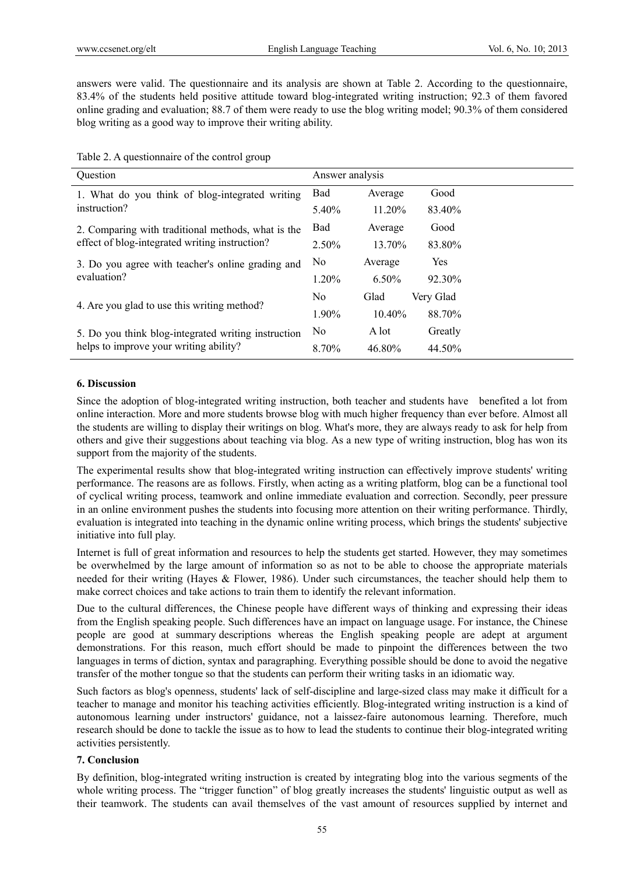answers were valid. The questionnaire and its analysis are shown at Table 2. According to the questionnaire, 83.4% of the students held positive attitude toward blog-integrated writing instruction; 92.3 of them favored online grading and evaluation; 88.7 of them were ready to use the blog writing model; 90.3% of them considered blog writing as a good way to improve their writing ability.

Table 2. A questionnaire of the control group

| Ouestion                                            | Answer analysis |           |           |  |
|-----------------------------------------------------|-----------------|-----------|-----------|--|
| 1. What do you think of blog-integrated writing     | Bad             | Average   | Good      |  |
| instruction?                                        | 5.40%           | 11.20%    | 83.40%    |  |
| 2. Comparing with traditional methods, what is the  | Bad             | Average   | Good      |  |
| effect of blog-integrated writing instruction?      | $2.50\%$        | 13.70%    | 83.80%    |  |
| 3. Do you agree with teacher's online grading and   | N <sub>0</sub>  | Average   | Yes       |  |
| evaluation?                                         | $1.20\%$        | $6.50\%$  | 92.30%    |  |
|                                                     | N <sub>0</sub>  | Glad      | Very Glad |  |
| 4. Are you glad to use this writing method?         | 1.90%           | $10.40\%$ | 88.70%    |  |
| 5. Do you think blog-integrated writing instruction | N <sub>0</sub>  | A lot     | Greatly   |  |
| helps to improve your writing ability?              | 8.70%           | 46.80%    | 44.50%    |  |

#### **6. Discussion**

Since the adoption of blog-integrated writing instruction, both teacher and students have benefited a lot from online interaction. More and more students browse blog with much higher frequency than ever before. Almost all the students are willing to display their writings on blog. What's more, they are always ready to ask for help from others and give their suggestions about teaching via blog. As a new type of writing instruction, blog has won its support from the majority of the students.

The experimental results show that blog-integrated writing instruction can effectively improve students' writing performance. The reasons are as follows. Firstly, when acting as a writing platform, blog can be a functional tool of cyclical writing process, teamwork and online immediate evaluation and correction. Secondly, peer pressure in an online environment pushes the students into focusing more attention on their writing performance. Thirdly, evaluation is integrated into teaching in the dynamic online writing process, which brings the students' subjective initiative into full play.

Internet is full of great information and resources to help the students get started. However, they may sometimes be overwhelmed by the large amount of information so as not to be able to choose the appropriate materials needed for their writing (Hayes & Flower, 1986). Under such circumstances, the teacher should help them to make correct choices and take actions to train them to identify the relevant information.

Due to the cultural differences, the Chinese people have different ways of thinking and expressing their ideas from the English speaking people. Such differences have an impact on language usage. For instance, the Chinese people are good at summary descriptions whereas the English speaking people are adept at argument demonstrations. For this reason, much effort should be made to pinpoint the differences between the two languages in terms of diction, syntax and paragraphing. Everything possible should be done to avoid the negative transfer of the mother tongue so that the students can perform their writing tasks in an idiomatic way.

Such factors as blog's openness, students' lack of self-discipline and large-sized class may make it difficult for a teacher to manage and monitor his teaching activities efficiently. Blog-integrated writing instruction is a kind of autonomous learning under instructors' guidance, not a laissez-faire autonomous learning. Therefore, much research should be done to tackle the issue as to how to lead the students to continue their blog-integrated writing activities persistently.

# **7. Conclusion**

By definition, blog-integrated writing instruction is created by integrating blog into the various segments of the whole writing process. The "trigger function" of blog greatly increases the students' linguistic output as well as their teamwork. The students can avail themselves of the vast amount of resources supplied by internet and